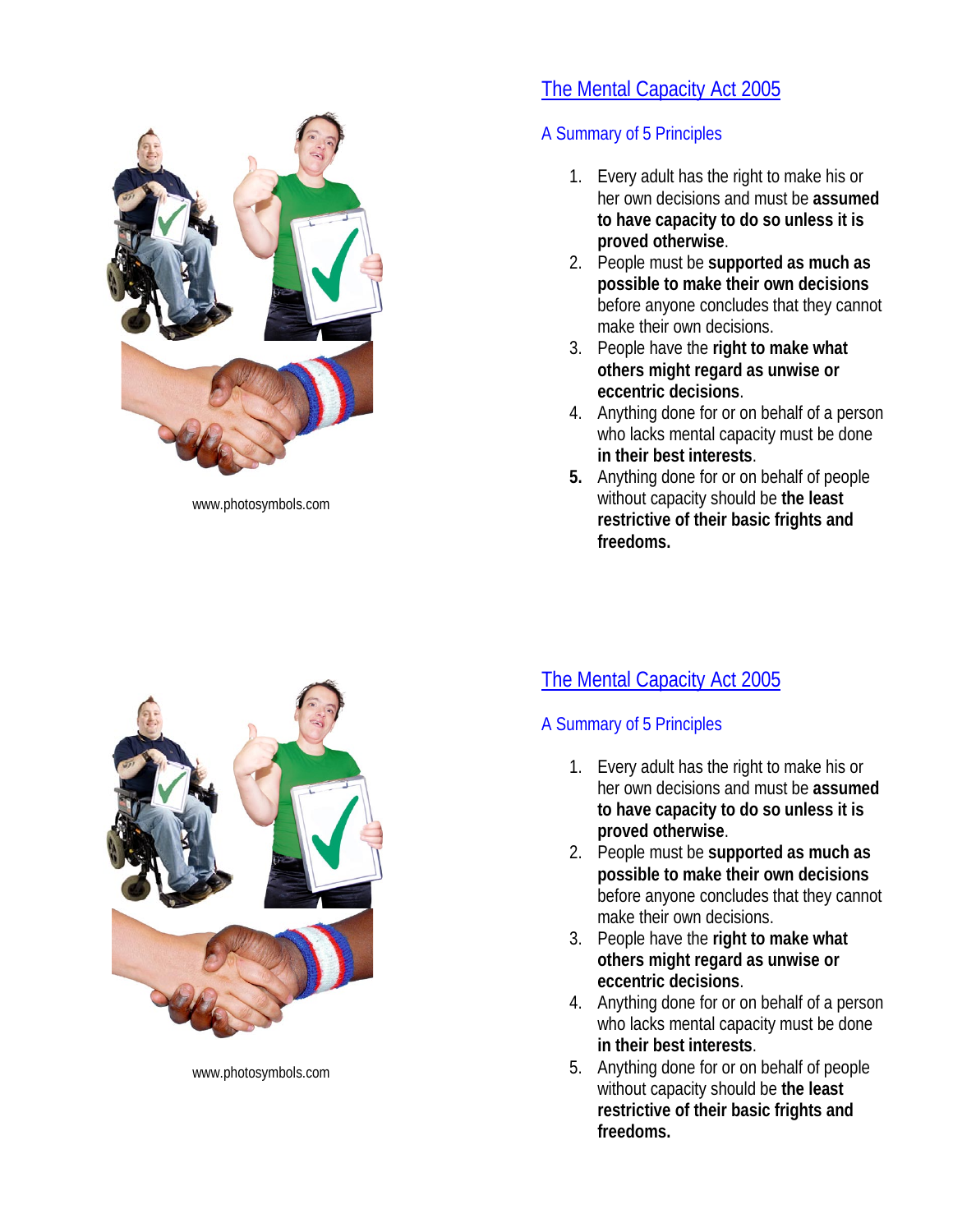

www.photosymbols.com

www.photosymbols.com

# The Mental Capacity Act 2005

# A Summary of 5 Principles

- 1. Every adult has the right to make his or her own decisions and must be **assumed to have capacity to do so unless it is proved otherwise**.
- 2. People must be **supported as much as possible to make their own decisions** before anyone concludes that they cannot make their own decisions.
- 3. People have the **right to make what others might regard as unwise or eccentric decisions**.
- 4. Anything done for or on behalf of a person who lacks mental capacity must be done **in their best interests**.
- **5.** Anything done for or on behalf of people without capacity should be **the least restrictive of their basic frights and freedoms.**

# The Mental Capacity Act 2005

# A Summary of 5 Principles

- 1. Every adult has the right to make his or her own decisions and must be **assumed to have capacity to do so unless it is proved otherwise**.
- 2. People must be **supported as much as possible to make their own decisions** before anyone concludes that they cannot make their own decisions.
- 3. People have the **right to make what others might regard as unwise or eccentric decisions**.
- 4. Anything done for or on behalf of a person who lacks mental capacity must be done **in their best interests**.
- 5. Anything done for or on behalf of people without capacity should be **the least restrictive of their basic frights and freedoms.**